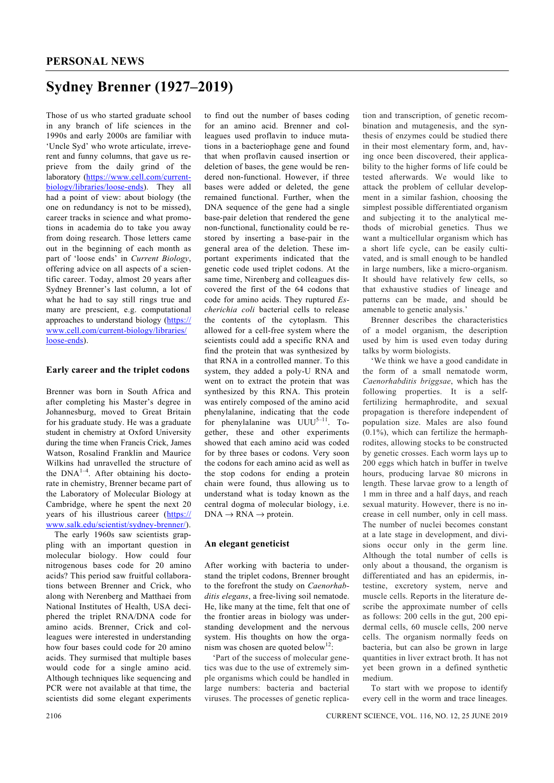## **Sydney Brenner (1927–2019)**

Those of us who started graduate school in any branch of life sciences in the 1990s and early 2000s are familiar with 'Uncle Syd' who wrote articulate, irreverent and funny columns, that gave us reprieve from the daily grind of the laboratory (https://www.cell.com/currentbiology/libraries/loose-ends). They all had a point of view: about biology (the one on redundancy is not to be missed), career tracks in science and what promotions in academia do to take you away from doing research. Those letters came out in the beginning of each month as part of 'loose ends' in *Current Biology*, offering advice on all aspects of a scientific career. Today, almost 20 years after Sydney Brenner's last column, a lot of what he had to say still rings true and many are prescient, e.g. computational approaches to understand biology (https:// www.cell.com/current-biology/libraries/ loose-ends).

## **Early career and the triplet codons**

Brenner was born in South Africa and after completing his Master's degree in Johannesburg, moved to Great Britain for his graduate study. He was a graduate student in chemistry at Oxford University during the time when Francis Crick, James Watson, Rosalind Franklin and Maurice Wilkins had unravelled the structure of the  $DNA^{1-4}$ . After obtaining his doctorate in chemistry, Brenner became part of the Laboratory of Molecular Biology at Cambridge, where he spent the next 20 years of his illustrious career (https:// www.salk.edu/scientist/sydney-brenner/).

 The early 1960s saw scientists grappling with an important question in molecular biology. How could four nitrogenous bases code for 20 amino acids? This period saw fruitful collaborations between Brenner and Crick, who along with Nerenberg and Matthaei from National Institutes of Health, USA deciphered the triplet RNA/DNA code for amino acids. Brenner, Crick and colleagues were interested in understanding how four bases could code for 20 amino acids. They surmised that multiple bases would code for a single amino acid. Although techniques like sequencing and PCR were not available at that time, the scientists did some elegant experiments

to find out the number of bases coding for an amino acid. Brenner and colleagues used proflavin to induce mutations in a bacteriophage gene and found that when proflavin caused insertion or deletion of bases, the gene would be rendered non-functional. However, if three bases were added or deleted, the gene remained functional. Further, when the DNA sequence of the gene had a single base-pair deletion that rendered the gene non-functional, functionality could be restored by inserting a base-pair in the general area of the deletion. These important experiments indicated that the genetic code used triplet codons. At the same time, Nirenberg and colleagues discovered the first of the 64 codons that code for amino acids. They ruptured *Escherichia coli* bacterial cells to release the contents of the cytoplasm. This allowed for a cell-free system where the scientists could add a specific RNA and find the protein that was synthesized by that RNA in a controlled manner. To this system, they added a poly-U RNA and went on to extract the protein that was synthesized by this RNA. This protein was entirely composed of the amino acid phenylalanine, indicating that the code for phenylalanine was  $UUU^{5-11}$ . Together, these and other experiments showed that each amino acid was coded for by three bases or codons. Very soon the codons for each amino acid as well as the stop codons for ending a protein chain were found, thus allowing us to understand what is today known as the central dogma of molecular biology, i.e.  $DNA \rightarrow RNA \rightarrow protein.$ 

## **An elegant geneticist**

After working with bacteria to understand the triplet codons, Brenner brought to the forefront the study on *Caenorhabditis elegans*, a free-living soil nematode. He, like many at the time, felt that one of the frontier areas in biology was understanding development and the nervous system. His thoughts on how the organism was chosen are quoted below<sup>12</sup>:

 'Part of the success of molecular genetics was due to the use of extremely simple organisms which could be handled in large numbers: bacteria and bacterial viruses. The processes of genetic replication and transcription, of genetic recombination and mutagenesis, and the synthesis of enzymes could be studied there in their most elementary form, and, having once been discovered, their applicability to the higher forms of life could be tested afterwards. We would like to attack the problem of cellular development in a similar fashion, choosing the simplest possible differentiated organism and subjecting it to the analytical methods of microbial genetics. Thus we want a multicellular organism which has a short life cycle, can be easily cultivated, and is small enough to be handled in large numbers, like a micro-organism. It should have relatively few cells, so that exhaustive studies of lineage and patterns can be made, and should be amenable to genetic analysis.'

 Brenner describes the characteristics of a model organism, the description used by him is used even today during talks by worm biologists.

 'We think we have a good candidate in the form of a small nematode worm, *Caenorhabditis briggsae*, which has the following properties. It is a selffertilizing hermaphrodite, and sexual propagation is therefore independent of population size. Males are also found  $(0.1\%)$ , which can fertilize the hermaphrodites, allowing stocks to be constructed by genetic crosses. Each worm lays up to 200 eggs which hatch in buffer in twelve hours, producing larvae 80 microns in length. These larvae grow to a length of 1 mm in three and a half days, and reach sexual maturity. However, there is no increase in cell number, only in cell mass. The number of nuclei becomes constant at a late stage in development, and divisions occur only in the germ line. Although the total number of cells is only about a thousand, the organism is differentiated and has an epidermis, intestine, excretory system, nerve and muscle cells. Reports in the literature describe the approximate number of cells as follows: 200 cells in the gut, 200 epidermal cells, 60 muscle cells, 200 nerve cells. The organism normally feeds on bacteria, but can also be grown in large quantities in liver extract broth. It has not yet been grown in a defined synthetic medium.

 To start with we propose to identify every cell in the worm and trace lineages.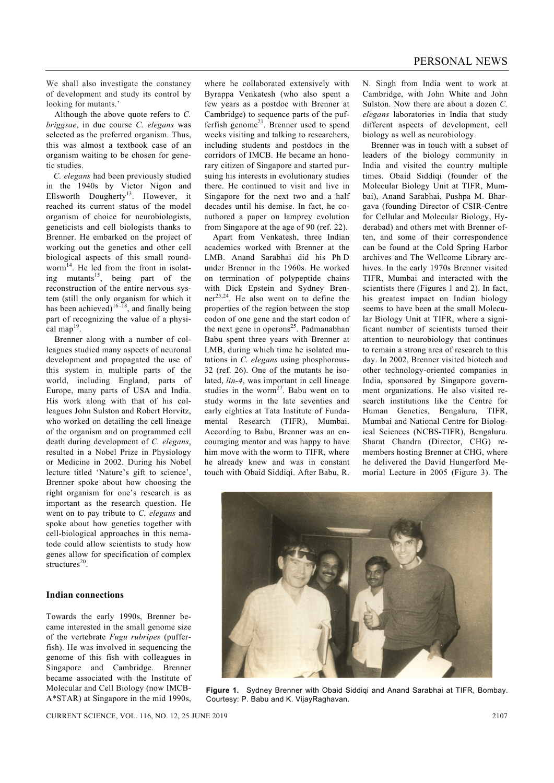We shall also investigate the constancy of development and study its control by looking for mutants.'

 Although the above quote refers to *C. briggsae*, in due course *C. elegans* was selected as the preferred organism. Thus, this was almost a textbook case of an organism waiting to be chosen for genetic studies.

 *C. elegans* had been previously studied in the 1940s by Victor Nigon and Ellsworth Dougherty<sup>13</sup>. However, it reached its current status of the model organism of choice for neurobiologists, geneticists and cell biologists thanks to Brenner. He embarked on the project of working out the genetics and other cell biological aspects of this small roundworm<sup>14</sup>. He led from the front in isolating mutants<sup>15</sup>, being part of the reconstruction of the entire nervous system (still the only organism for which it has been achieved)<sup>16–18</sup>, and finally being part of recognizing the value of a physical map<sup>19</sup>.

 Brenner along with a number of colleagues studied many aspects of neuronal development and propagated the use of this system in multiple parts of the world, including England, parts of Europe, many parts of USA and India. His work along with that of his colleagues John Sulston and Robert Horvitz, who worked on detailing the cell lineage of the organism and on programmed cell death during development of *C. elegans*, resulted in a Nobel Prize in Physiology or Medicine in 2002. During his Nobel lecture titled 'Nature's gift to science', Brenner spoke about how choosing the right organism for one's research is as important as the research question. He went on to pay tribute to *C. elegans* and spoke about how genetics together with cell-biological approaches in this nematode could allow scientists to study how genes allow for specification of complex structures $20$ 

## **Indian connections**

Towards the early 1990s, Brenner became interested in the small genome size of the vertebrate *Fugu rubripes* (pufferfish). He was involved in sequencing the genome of this fish with colleagues in Singapore and Cambridge. Brenner became associated with the Institute of Molecular and Cell Biology (now IMCB-A\*STAR) at Singapore in the mid 1990s,

where he collaborated extensively with Byrappa Venkatesh (who also spent a few years as a postdoc with Brenner at Cambridge) to sequence parts of the pufferfish genome<sup>21</sup>. Brenner used to spend weeks visiting and talking to researchers, including students and postdocs in the corridors of IMCB. He became an honorary citizen of Singapore and started pursuing his interests in evolutionary studies there. He continued to visit and live in Singapore for the next two and a half decades until his demise. In fact, he coauthored a paper on lamprey evolution from Singapore at the age of 90 (ref. 22).

 Apart from Venkatesh, three Indian academics worked with Brenner at the LMB. Anand Sarabhai did his Ph D under Brenner in the 1960s. He worked on termination of polypeptide chains with Dick Epstein and Sydney Brenner<sup>23,24</sup>. He also went on to define the properties of the region between the stop codon of one gene and the start codon of the next gene in operons<sup>25</sup>. Padmanabhan Babu spent three years with Brenner at LMB, during which time he isolated mutations in *C. elegans* using phosphorous-32 (ref. 26). One of the mutants he isolated, *lin-4*, was important in cell lineage studies in the worm<sup>27</sup>. Babu went on to study worms in the late seventies and early eighties at Tata Institute of Fundamental Research (TIFR), Mumbai. According to Babu, Brenner was an encouraging mentor and was happy to have him move with the worm to TIFR, where he already knew and was in constant touch with Obaid Siddiqi. After Babu, R.

N. Singh from India went to work at Cambridge, with John White and John Sulston. Now there are about a dozen *C. elegans* laboratories in India that study different aspects of development, cell biology as well as neurobiology.

 Brenner was in touch with a subset of leaders of the biology community in India and visited the country multiple times. Obaid Siddiqi (founder of the Molecular Biology Unit at TIFR, Mumbai), Anand Sarabhai, Pushpa M. Bhargava (founding Director of CSIR-Centre for Cellular and Molecular Biology, Hyderabad) and others met with Brenner often, and some of their correspondence can be found at the Cold Spring Harbor archives and The Wellcome Library archives. In the early 1970s Brenner visited TIFR, Mumbai and interacted with the scientists there (Figures 1 and 2). In fact, his greatest impact on Indian biology seems to have been at the small Molecular Biology Unit at TIFR, where a significant number of scientists turned their attention to neurobiology that continues to remain a strong area of research to this day. In 2002, Brenner visited biotech and other technology-oriented companies in India, sponsored by Singapore government organizations. He also visited research institutions like the Centre for Human Genetics, Bengaluru, TIFR, Mumbai and National Centre for Biological Sciences (NCBS-TIFR), Bengaluru. Sharat Chandra (Director, CHG) remembers hosting Brenner at CHG, where he delivered the David Hungerford Memorial Lecture in 2005 (Figure 3). The



**Figure 1.** Sydney Brenner with Obaid Siddiqi and Anand Sarabhai at TIFR, Bombay. Courtesy: P. Babu and K. VijayRaghavan.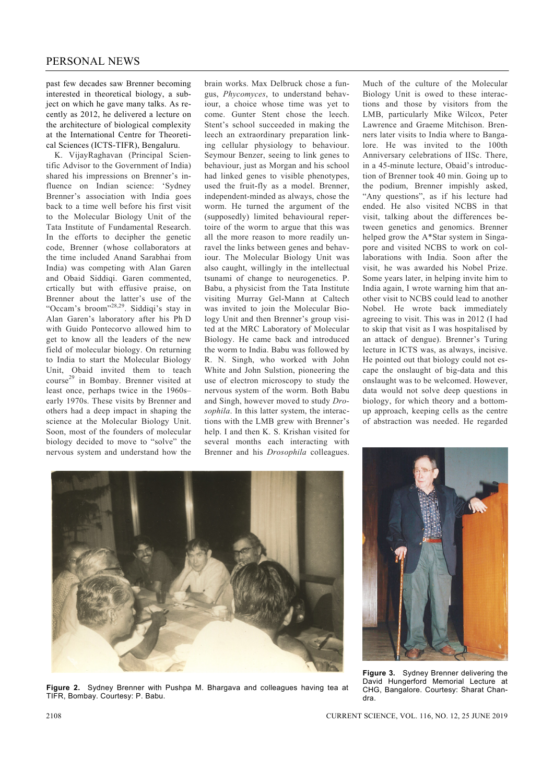past few decades saw Brenner becoming interested in theoretical biology, a subject on which he gave many talks. As recently as 2012, he delivered a lecture on the architecture of biological complexity at the International Centre for Theoretical Sciences (ICTS-TIFR), Bengaluru.

 K. VijayRaghavan (Principal Scientific Advisor to the Government of India) shared his impressions on Brenner's influence on Indian science: 'Sydney Brenner's association with India goes back to a time well before his first visit to the Molecular Biology Unit of the Tata Institute of Fundamental Research. In the efforts to decipher the genetic code, Brenner (whose collaborators at the time included Anand Sarabhai from India) was competing with Alan Garen and Obaid Siddiqi. Garen commented, crtically but with effusive praise, on Brenner about the latter's use of the "Occam's broom"<sup>28,29</sup>. Siddiqi's stay in Alan Garen's laboratory after his Ph D with Guido Pontecorvo allowed him to get to know all the leaders of the new field of molecular biology. On returning to India to start the Molecular Biology Unit, Obaid invited them to teach course29 in Bombay. Brenner visited at least once, perhaps twice in the 1960s– early 1970s. These visits by Brenner and others had a deep impact in shaping the science at the Molecular Biology Unit. Soon, most of the founders of molecular biology decided to move to "solve" the nervous system and understand how the

brain works. Max Delbruck chose a fungus, *Phycomyces*, to understand behaviour, a choice whose time was yet to come. Gunter Stent chose the leech. Stent's school succeeded in making the leech an extraordinary preparation linking cellular physiology to behaviour. Seymour Benzer, seeing to link genes to behaviour, just as Morgan and his school had linked genes to visible phenotypes, used the fruit-fly as a model. Brenner, independent-minded as always, chose the worm. He turned the argument of the (supposedly) limited behavioural repertoire of the worm to argue that this was all the more reason to more readily unravel the links between genes and behaviour. The Molecular Biology Unit was also caught, willingly in the intellectual tsunami of change to neurogenetics. P. Babu, a physicist from the Tata Institute visiting Murray Gel-Mann at Caltech was invited to join the Molecular Biology Unit and then Brenner's group visited at the MRC Laboratory of Molecular Biology. He came back and introduced the worm to India. Babu was followed by R. N. Singh, who worked with John White and John Sulstion, pioneering the use of electron microscopy to study the nervous system of the worm. Both Babu and Singh, however moved to study *Drosophila*. In this latter system, the interactions with the LMB grew with Brenner's help. I and then K. S. Krishan visited for several months each interacting with Brenner and his *Drosophila* colleagues.

Much of the culture of the Molecular Biology Unit is owed to these interactions and those by visitors from the LMB, particularly Mike Wilcox, Peter Lawrence and Graeme Mitchison. Brenners later visits to India where to Bangalore. He was invited to the 100th Anniversary celebrations of IISc. There, in a 45-minute lecture, Obaid's introduction of Brenner took 40 min. Going up to the podium, Brenner impishly asked, "Any questions", as if his lecture had ended. He also visited NCBS in that visit, talking about the differences between genetics and genomics. Brenner helped grow the A\*Star system in Singapore and visited NCBS to work on collaborations with India. Soon after the visit, he was awarded his Nobel Prize. Some years later, in helping invite him to India again, I wrote warning him that another visit to NCBS could lead to another Nobel. He wrote back immediately agreeing to visit. This was in 2012 (I had to skip that visit as I was hospitalised by an attack of dengue). Brenner's Turing lecture in ICTS was, as always, incisive. He pointed out that biology could not escape the onslaught of big-data and this onslaught was to be welcomed. However, data would not solve deep questions in biology, for which theory and a bottomup approach, keeping cells as the centre of abstraction was needed. He regarded



**Figure 2.** Sydney Brenner with Pushpa M. Bhargava and colleagues having tea at TIFR, Bombay. Courtesy: P. Babu.



**Figure 3.** Sydney Brenner delivering the David Hungerford Memorial Lecture at CHG, Bangalore. Courtesy: Sharat Chandra.